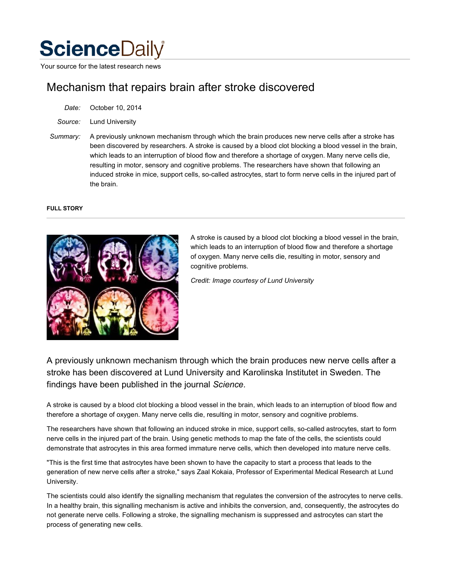# **Science**Daily

Your source for the latest research news

# Mechanism that repairs brain after stroke discovered

| Date: | October 10, 2014 |  |  |
|-------|------------------|--|--|
|-------|------------------|--|--|

*Source:* Lund University

*Summary:* A previously unknown mechanism through which the brain produces new nerve cells after a stroke has been discovered by researchers. A stroke is caused by a blood clot blocking a blood vessel in the brain, which leads to an interruption of blood flow and therefore a shortage of oxygen. Many nerve cells die, resulting in motor, sensory and cognitive problems. The researchers have shown that following an induced stroke in mice, support cells, so-called astrocytes, start to form nerve cells in the injured part of the brain.

## **FULL STORY**



A stroke is caused by a blood clot blocking a blood vessel in the brain, which leads to an interruption of blood flow and therefore a shortage of oxygen. Many nerve cells die, resulting in motor, sensory and cognitive problems.

*Credit: Image courtesy of Lund University*

A previously unknown mechanism through which the brain produces new nerve cells after a stroke has been discovered at Lund University and Karolinska Institutet in Sweden. The findings have been published in the journal *Science.*

A stroke is caused by a blood clot blocking a blood vessel in the brain, which leads to an interruption of blood flow and therefore a shortage of oxygen. Many nerve cells die, resulting in motor, sensory and cognitive problems.

The researchers have shown that following an induced stroke in mice, support cells, so-called astrocytes, start to form nerve cells in the injured part of the brain. Using genetic methods to map the fate of the cells, the scientists could demonstrate that astrocytes in this area formed immature nerve cells, which then developed into mature nerve cells.

"This is the first time that astrocytes have been shown to have the capacity to start a process that leads to the generation of new nerve cells after a stroke," says Zaal Kokaia, Professor of Experimental Medical Research at Lund University.

The scientists could also identify the signalling mechanism that regulates the conversion of the astrocytes to nerve cells. In a healthy brain, this signalling mechanism is active and inhibits the conversion, and, consequently, the astrocytes do not generate nerve cells. Following a stroke, the signalling mechanism is suppressed and astrocytes can start the process of generating new cells.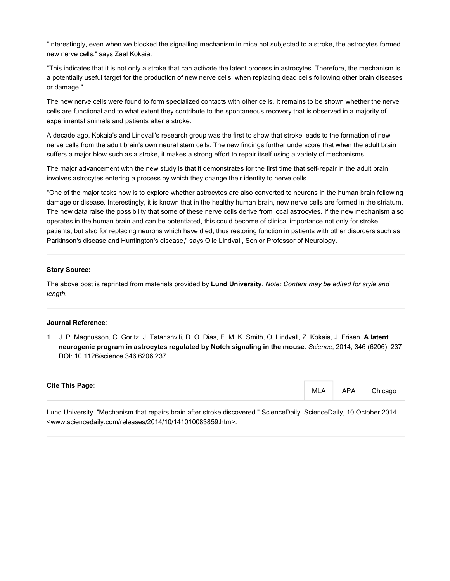"Interestingly, even when we blocked the signalling mechanism in mice not subjected to a stroke, the astrocytes formed new nerve cells," says Zaal Kokaia.

"This indicates that it is not only a stroke that can activate the latent process in astrocytes. Therefore, the mechanism is a potentially useful target for the production of new nerve cells, when replacing dead cells following other brain diseases or damage."

The new nerve cells were found to form specialized contacts with other cells. It remains to be shown whether the nerve cells are functional and to what extent they contribute to the spontaneous recovery that is observed in a majority of experimental animals and patients after a stroke.

A decade ago, Kokaia's and Lindvall's research group was the first to show that stroke leads to the formation of new nerve cells from the adult brain's own neural stem cells. The new findings further underscore that when the adult brain suffers a major blow such as a stroke, it makes a strong effort to repair itself using a variety of mechanisms.

The major advancement with the new study is that it demonstrates for the first time that self-repair in the adult brain involves astrocytes entering a process by which they change their identity to nerve cells.

"One of the major tasks now is to explore whether astrocytes are also converted to neurons in the human brain following damage or disease. Interestingly, it is known that in the healthy human brain, new nerve cells are formed in the striatum. The new data raise the possibility that some of these nerve cells derive from local astrocytes. If the new mechanism also operates in the human brain and can be potentiated, this could become of clinical importance not only for stroke patients, but also for replacing neurons which have died, thus restoring function in patients with other disorders such as Parkinson's disease and Huntington's disease," says Olle Lindvall, Senior Professor of Neurology.

#### **Story Source:**

The above post is reprinted from materials provided by **Lund University**. *Note: Content may be edited for style and length.*

#### **Journal Reference**:

1. J. P. Magnusson, C. Goritz, J. Tatarishvili, D. O. Dias, E. M. K. Smith, O. Lindvall, Z. Kokaia, J. Frisen. **A latent neurogenic program in astrocytes regulated by Notch signaling in the mouse**. *Science*, 2014; 346 (6206): 237 DOI: 10.1126/science.346.6206.237

#### **Cite This Page**:

MLA APA Chicago

Lund University. "Mechanism that repairs brain after stroke discovered." ScienceDaily. ScienceDaily, 10 October 2014. <www.sciencedaily.com/releases/2014/10/141010083859.htm>.